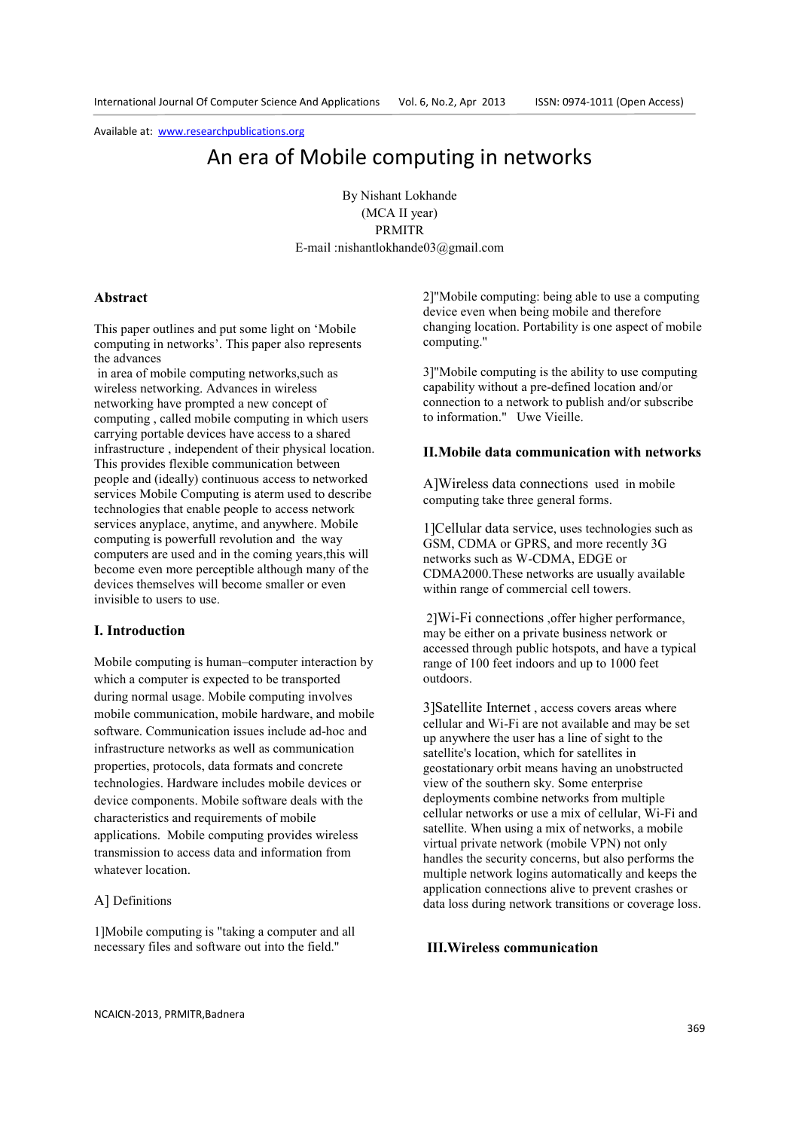# An era of Mobile computing in networks

By Nishant Lokhande (MCA II year) PRMITR E-mail :nishantlokhande03@gmail.com

## **Abstract**

This paper outlines and put some light on 'Mobile computing in networks'. This paper also represents the advances

 in area of mobile computing networks,such as wireless networking. Advances in wireless networking have prompted a new concept of computing , called mobile computing in which users carrying portable devices have access to a shared infrastructure , independent of their physical location. This provides flexible communication between people and (ideally) continuous access to networked services Mobile Computing is aterm used to describe technologies that enable people to access network services anyplace, anytime, and anywhere. Mobile computing is powerfull revolution and the way computers are used and in the coming years,this will become even more perceptible although many of the devices themselves will become smaller or even invisible to users to use.

#### **I. Introduction**

Mobile computing is human–computer interaction by which a computer is expected to be transported during normal usage. Mobile computing involves mobile communication, mobile hardware, and mobile software. Communication issues include ad-hoc and infrastructure networks as well as communication properties, protocols, data formats and concrete technologies. Hardware includes mobile devices or device components. Mobile software deals with the characteristics and requirements of mobile applications. Mobile computing provides wireless transmission to access data and information from whatever location.

### A] Definitions

1]Mobile computing is "taking a computer and all necessary files and software out into the field."

2]"Mobile computing: being able to use a computing device even when being mobile and therefore changing location. Portability is one aspect of mobile computing."

3]"Mobile computing is the ability to use computing capability without a pre-defined location and/or connection to a network to publish and/or subscribe to information." Uwe Vieille.

#### **II.Mobile data communication with networks**

A]Wireless data connections used in mobile computing take three general forms.

1]Cellular data service, uses technologies such as GSM, CDMA or GPRS, and more recently 3G networks such as W-CDMA, EDGE or CDMA2000.These networks are usually available within range of commercial cell towers.

 2]Wi-Fi connections ,offer higher performance, may be either on a private business network or accessed through public hotspots, and have a typical range of 100 feet indoors and up to 1000 feet outdoors.

3]Satellite Internet , access covers areas where cellular and Wi-Fi are not available and may be set up anywhere the user has a line of sight to the satellite's location, which for satellites in geostationary orbit means having an unobstructed view of the southern sky. Some enterprise deployments combine networks from multiple cellular networks or use a mix of cellular, Wi-Fi and satellite. When using a mix of networks, a mobile virtual private network (mobile VPN) not only handles the security concerns, but also performs the multiple network logins automatically and keeps the application connections alive to prevent crashes or data loss during network transitions or coverage loss.

## **III.Wireless communication**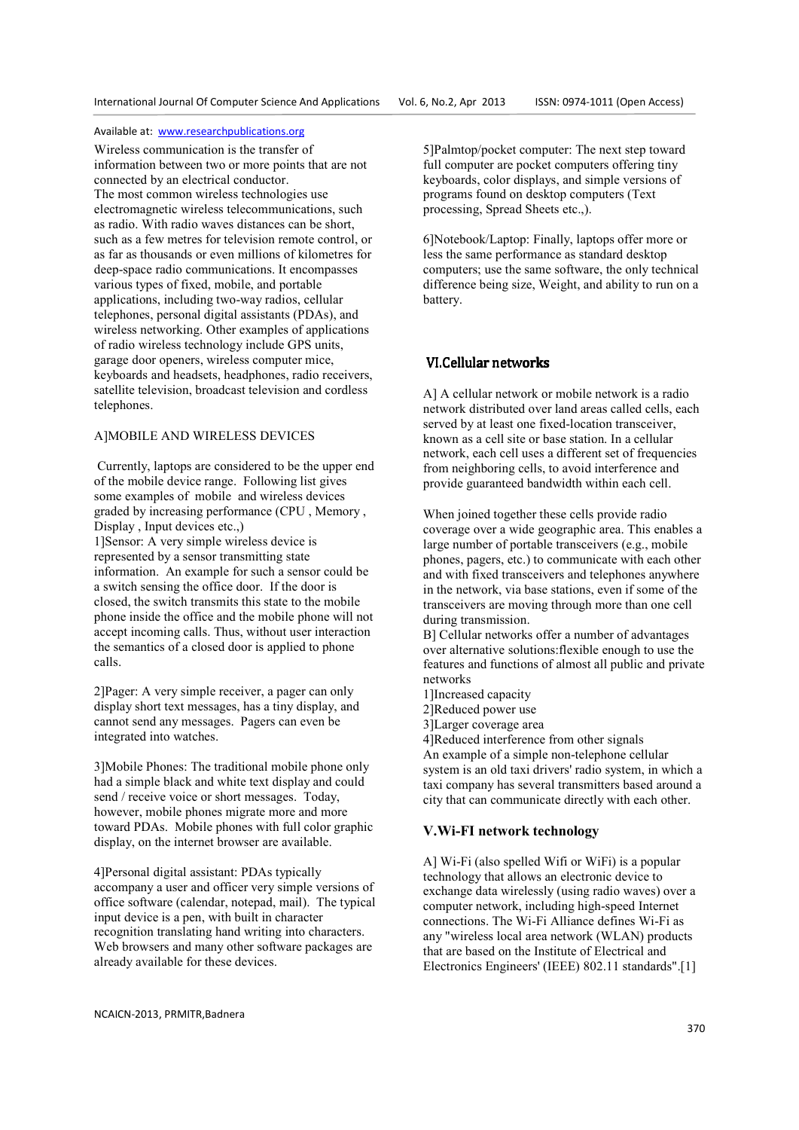Wireless communication is the transfer of information between two or more points that are not connected by an electrical conductor. The most common wireless technologies use electromagnetic wireless telecommunications, such as radio. With radio waves distances can be short, such as a few metres for television remote control, or as far as thousands or even millions of kilometres for deep-space radio communications. It encompasses various types of fixed, mobile, and portable applications, including two-way radios, cellular telephones, personal digital assistants (PDAs), and wireless networking. Other examples of applications of radio wireless technology include GPS units, garage door openers, wireless computer mice, keyboards and headsets, headphones, radio receivers, satellite television, broadcast television and cordless telephones.

#### A]MOBILE AND WIRELESS DEVICES

 Currently, laptops are considered to be the upper end of the mobile device range. Following list gives some examples of mobile and wireless devices graded by increasing performance (CPU , Memory , Display , Input devices etc.,)

1]Sensor: A very simple wireless device is represented by a sensor transmitting state information. An example for such a sensor could be a switch sensing the office door. If the door is closed, the switch transmits this state to the mobile phone inside the office and the mobile phone will not accept incoming calls. Thus, without user interaction the semantics of a closed door is applied to phone calls.

2]Pager: A very simple receiver, a pager can only display short text messages, has a tiny display, and cannot send any messages. Pagers can even be integrated into watches.

3]Mobile Phones: The traditional mobile phone only had a simple black and white text display and could send / receive voice or short messages. Today, however, mobile phones migrate more and more toward PDAs. Mobile phones with full color graphic display, on the internet browser are available.

4]Personal digital assistant: PDAs typically accompany a user and officer very simple versions of office software (calendar, notepad, mail). The typical input device is a pen, with built in character recognition translating hand writing into characters. Web browsers and many other software packages are already available for these devices.

5]Palmtop/pocket computer: The next step toward full computer are pocket computers offering tiny keyboards, color displays, and simple versions of programs found on desktop computers (Text processing, Spread Sheets etc.,).

6]Notebook/Laptop: Finally, laptops offer more or less the same performance as standard desktop computers; use the same software, the only technical difference being size, Weight, and ability to run on a battery.

## VI.Cellular networks

A] A cellular network or mobile network is a radio network distributed over land areas called cells, each served by at least one fixed-location transceiver, known as a cell site or base station. In a cellular network, each cell uses a different set of frequencies from neighboring cells, to avoid interference and provide guaranteed bandwidth within each cell.

When joined together these cells provide radio coverage over a wide geographic area. This enables a large number of portable transceivers (e.g., mobile phones, pagers, etc.) to communicate with each other and with fixed transceivers and telephones anywhere in the network, via base stations, even if some of the transceivers are moving through more than one cell during transmission.

B] Cellular networks offer a number of advantages over alternative solutions:flexible enough to use the features and functions of almost all public and private networks

- 1]Increased capacity
- 2]Reduced power use
- 3]Larger coverage area

4]Reduced interference from other signals An example of a simple non-telephone cellular system is an old taxi drivers' radio system, in which a taxi company has several transmitters based around a city that can communicate directly with each other.

## **V.Wi-FI network technology**

A] Wi-Fi (also spelled Wifi or WiFi) is a popular technology that allows an electronic device to exchange data wirelessly (using radio waves) over a computer network, including high-speed Internet connections. The Wi-Fi Alliance defines Wi-Fi as any "wireless local area network (WLAN) products that are based on the Institute of Electrical and Electronics Engineers' (IEEE) 802.11 standards".[1]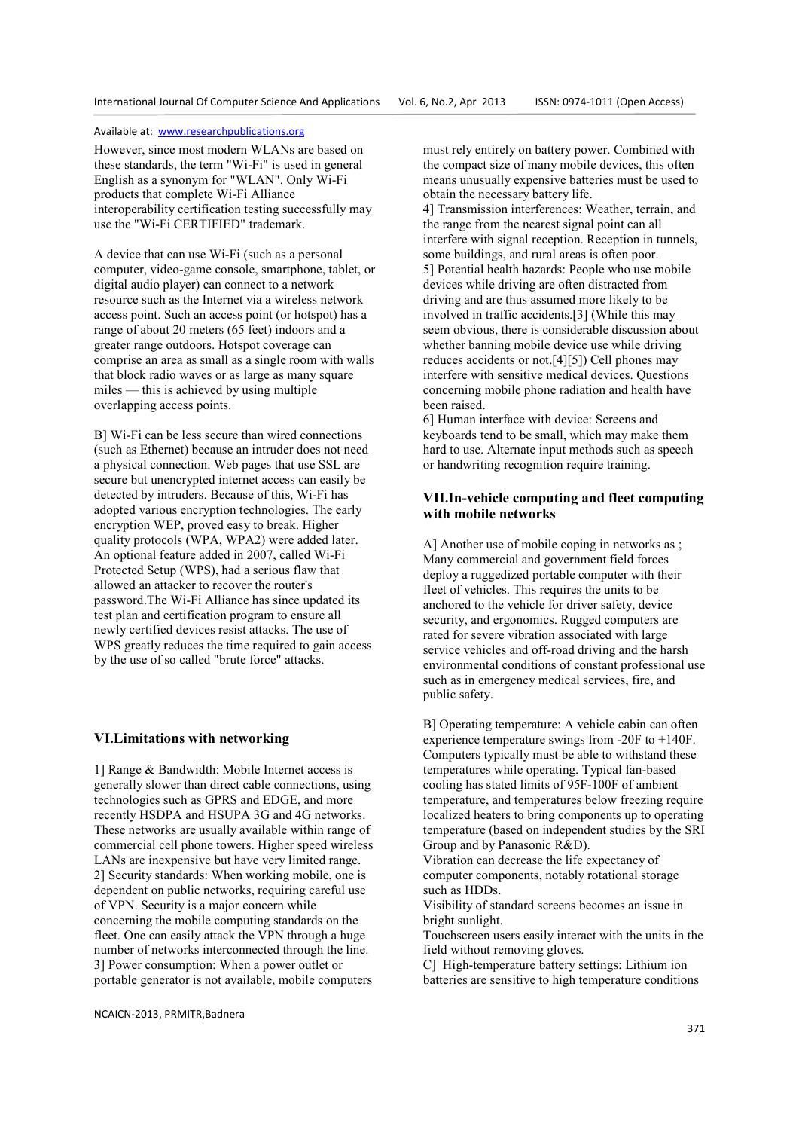However, since most modern WLANs are based on these standards, the term "Wi-Fi" is used in general English as a synonym for "WLAN". Only Wi-Fi products that complete Wi-Fi Alliance interoperability certification testing successfully may use the "Wi-Fi CERTIFIED" trademark.

A device that can use Wi-Fi (such as a personal computer, video-game console, smartphone, tablet, or digital audio player) can connect to a network resource such as the Internet via a wireless network access point. Such an access point (or hotspot) has a range of about 20 meters (65 feet) indoors and a greater range outdoors. Hotspot coverage can comprise an area as small as a single room with walls that block radio waves or as large as many square miles — this is achieved by using multiple overlapping access points.

B] Wi-Fi can be less secure than wired connections (such as Ethernet) because an intruder does not need a physical connection. Web pages that use SSL are secure but unencrypted internet access can easily be detected by intruders. Because of this, Wi-Fi has adopted various encryption technologies. The early encryption WEP, proved easy to break. Higher quality protocols (WPA, WPA2) were added later. An optional feature added in 2007, called Wi-Fi Protected Setup (WPS), had a serious flaw that allowed an attacker to recover the router's password.The Wi-Fi Alliance has since updated its test plan and certification program to ensure all newly certified devices resist attacks. The use of WPS greatly reduces the time required to gain access by the use of so called "brute force" attacks.

#### **VI.Limitations with networking**

1] Range & Bandwidth: Mobile Internet access is generally slower than direct cable connections, using technologies such as GPRS and EDGE, and more recently HSDPA and HSUPA 3G and 4G networks. These networks are usually available within range of commercial cell phone towers. Higher speed wireless LANs are inexpensive but have very limited range. 2] Security standards: When working mobile, one is dependent on public networks, requiring careful use of VPN. Security is a major concern while concerning the mobile computing standards on the fleet. One can easily attack the VPN through a huge number of networks interconnected through the line. 3] Power consumption: When a power outlet or portable generator is not available, mobile computers

must rely entirely on battery power. Combined with the compact size of many mobile devices, this often means unusually expensive batteries must be used to obtain the necessary battery life.

4] Transmission interferences: Weather, terrain, and the range from the nearest signal point can all interfere with signal reception. Reception in tunnels, some buildings, and rural areas is often poor. 5] Potential health hazards: People who use mobile devices while driving are often distracted from driving and are thus assumed more likely to be involved in traffic accidents.[3] (While this may seem obvious, there is considerable discussion about whether banning mobile device use while driving reduces accidents or not.[4][5]) Cell phones may interfere with sensitive medical devices. Questions concerning mobile phone radiation and health have been raised.

6] Human interface with device: Screens and keyboards tend to be small, which may make them hard to use. Alternate input methods such as speech or handwriting recognition require training.

## **VII.In-vehicle computing and fleet computing with mobile networks**

A] Another use of mobile coping in networks as ; Many commercial and government field forces deploy a ruggedized portable computer with their fleet of vehicles. This requires the units to be anchored to the vehicle for driver safety, device security, and ergonomics. Rugged computers are rated for severe vibration associated with large service vehicles and off-road driving and the harsh environmental conditions of constant professional use such as in emergency medical services, fire, and public safety.

B] Operating temperature: A vehicle cabin can often experience temperature swings from -20F to +140F. Computers typically must be able to withstand these temperatures while operating. Typical fan-based cooling has stated limits of 95F-100F of ambient temperature, and temperatures below freezing require localized heaters to bring components up to operating temperature (based on independent studies by the SRI Group and by Panasonic R&D).

Vibration can decrease the life expectancy of computer components, notably rotational storage such as HDDs.

Visibility of standard screens becomes an issue in bright sunlight.

Touchscreen users easily interact with the units in the field without removing gloves.

C] High-temperature battery settings: Lithium ion batteries are sensitive to high temperature conditions

NCAICN-2013, PRMITR,Badnera